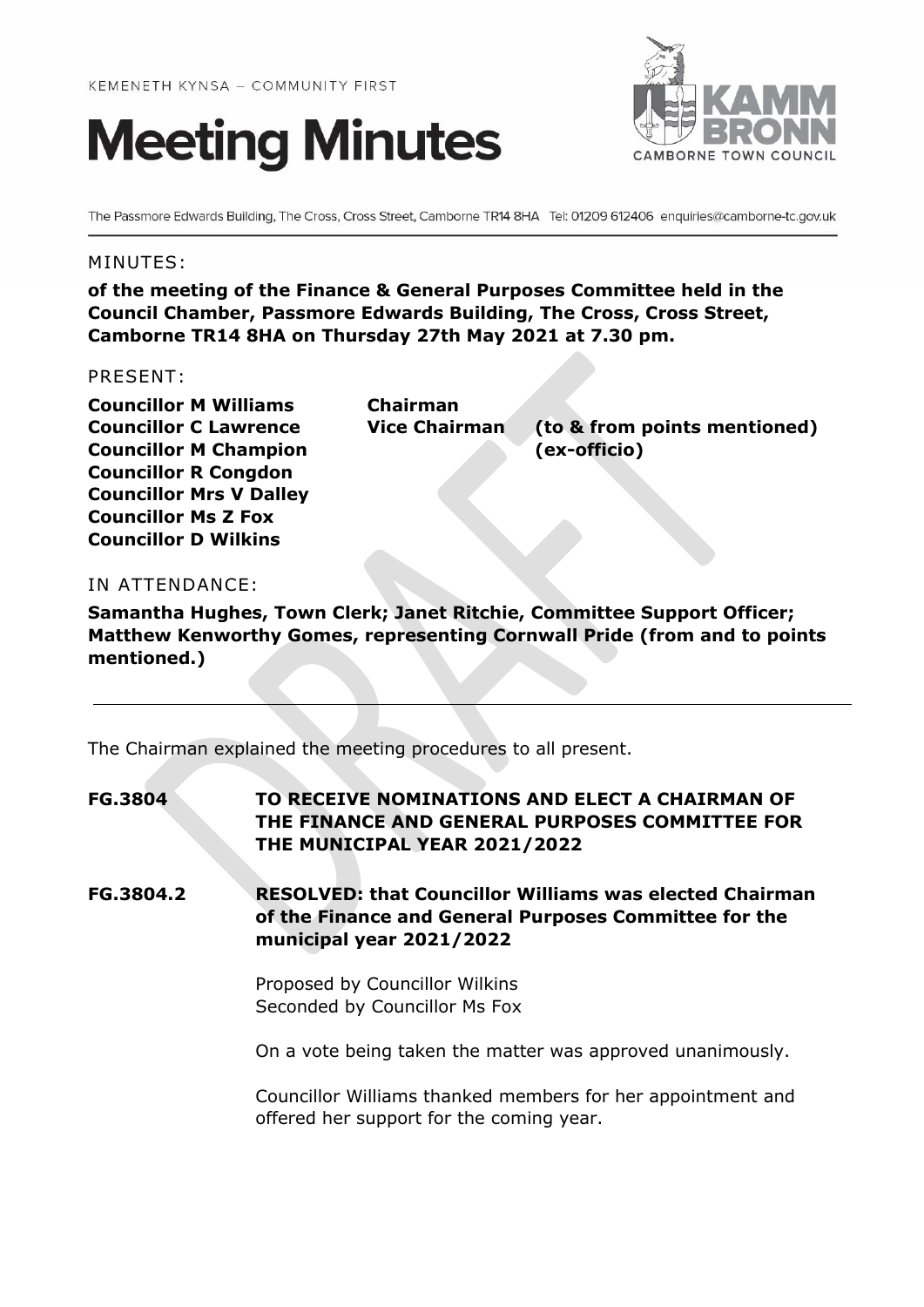# **Meeting Minutes**



The Passmore Edwards Building, The Cross, Cross Street, Camborne TR14 8HA Tel: 01209 612406 enquiries@camborne-tc.gov.uk

#### MINUTES:

**of the meeting of the Finance & General Purposes Committee held in the Council Chamber, Passmore Edwards Building, The Cross, Cross Street, Camborne TR14 8HA on Thursday 27th May 2021 at 7.30 pm.**

#### PRESENT:

**Councillor M Williams Chairman Councillor M Champion (ex-officio) Councillor R Congdon Councillor Mrs V Dalley Councillor Ms Z Fox Councillor D Wilkins**

**Councillor C Lawrence Vice Chairman (to & from points mentioned)**

# IN ATTENDANCE:

**Samantha Hughes, Town Clerk; Janet Ritchie, Committee Support Officer; Matthew Kenworthy Gomes, representing Cornwall Pride (from and to points mentioned.)**

The Chairman explained the meeting procedures to all present.

**FG.3804 TO RECEIVE NOMINATIONS AND ELECT A CHAIRMAN OF THE FINANCE AND GENERAL PURPOSES COMMITTEE FOR THE MUNICIPAL YEAR 2021/2022**

**FG.3804.2 RESOLVED: that Councillor Williams was elected Chairman of the Finance and General Purposes Committee for the municipal year 2021/2022**

> Proposed by Councillor Wilkins Seconded by Councillor Ms Fox

On a vote being taken the matter was approved unanimously.

Councillor Williams thanked members for her appointment and offered her support for the coming year.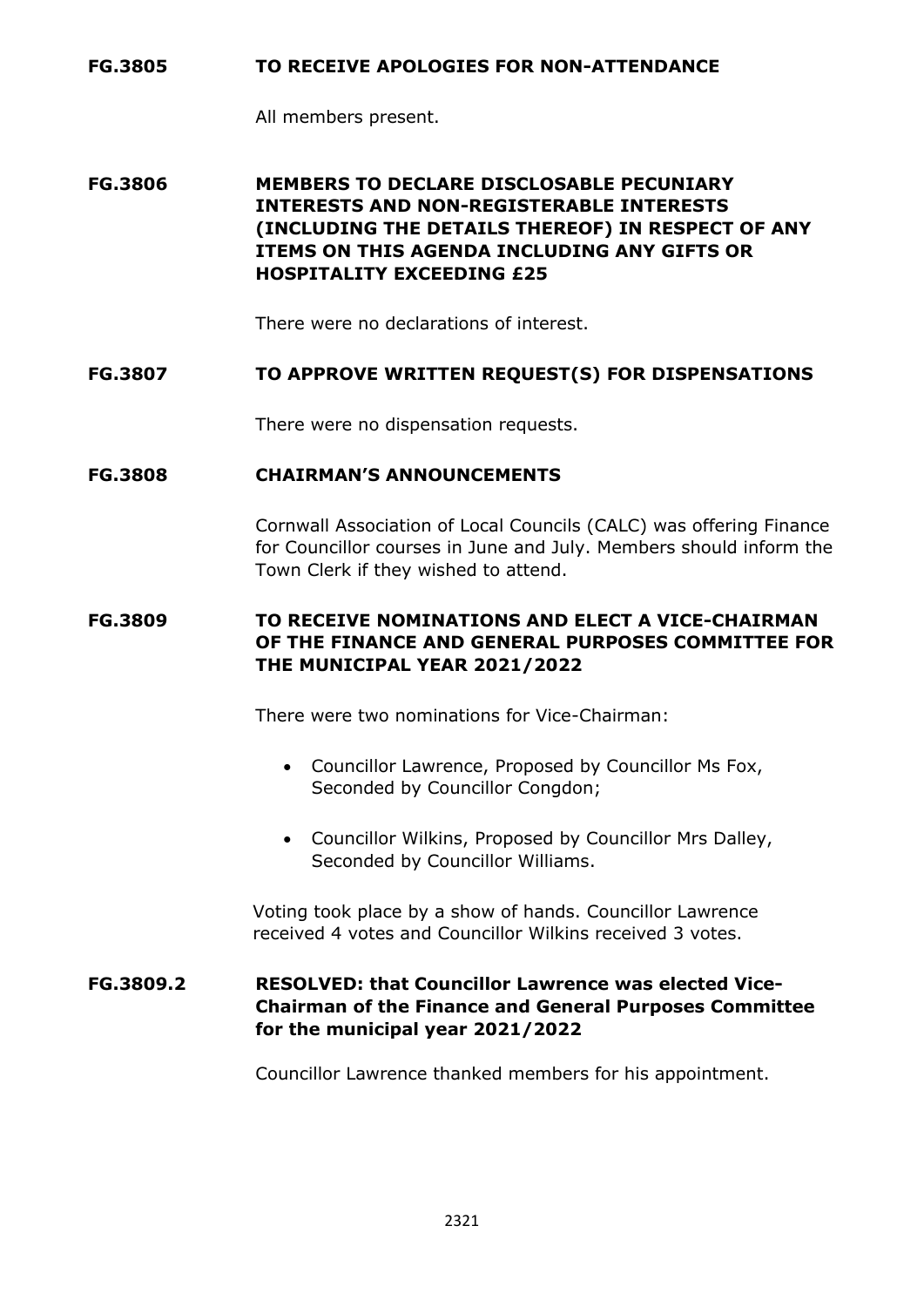#### **FG.3805 TO RECEIVE APOLOGIES FOR NON-ATTENDANCE**

All members present.

**FG.3806 MEMBERS TO DECLARE DISCLOSABLE PECUNIARY INTERESTS AND NON-REGISTERABLE INTERESTS (INCLUDING THE DETAILS THEREOF) IN RESPECT OF ANY ITEMS ON THIS AGENDA INCLUDING ANY GIFTS OR HOSPITALITY EXCEEDING £25**

There were no declarations of interest.

## **FG.3807 TO APPROVE WRITTEN REQUEST(S) FOR DISPENSATIONS**

There were no dispensation requests.

#### **FG.3808 CHAIRMAN'S ANNOUNCEMENTS**

Cornwall Association of Local Councils (CALC) was offering Finance for Councillor courses in June and July. Members should inform the Town Clerk if they wished to attend.

# **FG.3809 TO RECEIVE NOMINATIONS AND ELECT A VICE-CHAIRMAN OF THE FINANCE AND GENERAL PURPOSES COMMITTEE FOR THE MUNICIPAL YEAR 2021/2022**

There were two nominations for Vice-Chairman:

- Councillor Lawrence, Proposed by Councillor Ms Fox, Seconded by Councillor Congdon;
- Councillor Wilkins, Proposed by Councillor Mrs Dalley, Seconded by Councillor Williams.

Voting took place by a show of hands. Councillor Lawrence received 4 votes and Councillor Wilkins received 3 votes.

## **FG.3809.2 RESOLVED: that Councillor Lawrence was elected Vice-Chairman of the Finance and General Purposes Committee for the municipal year 2021/2022**

Councillor Lawrence thanked members for his appointment.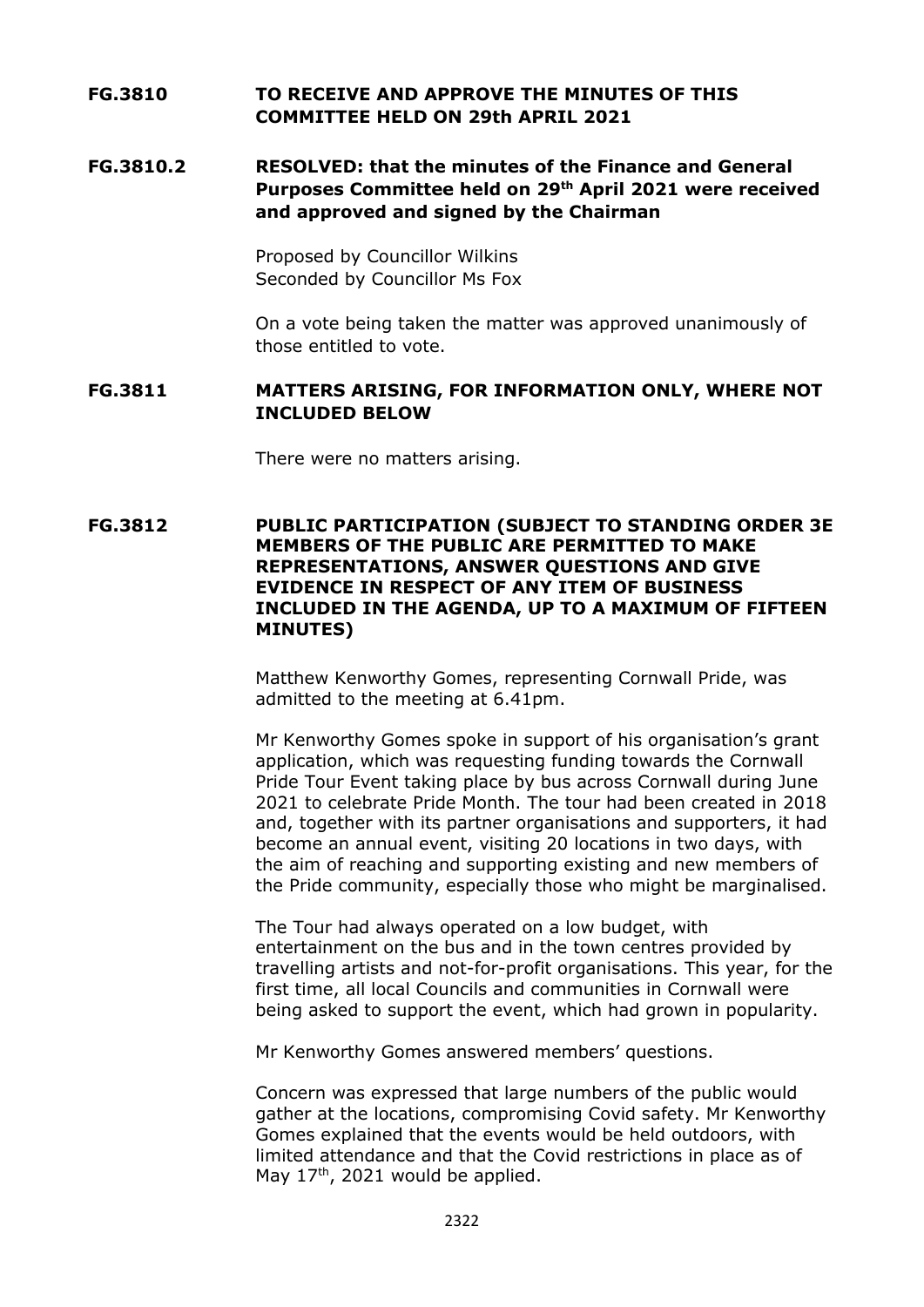# **FG.3810 TO RECEIVE AND APPROVE THE MINUTES OF THIS COMMITTEE HELD ON 29th APRIL 2021**

## **FG.3810.2 RESOLVED: that the minutes of the Finance and General Purposes Committee held on 29 th April 2021 were received and approved and signed by the Chairman**

Proposed by Councillor Wilkins Seconded by Councillor Ms Fox

On a vote being taken the matter was approved unanimously of those entitled to vote.

#### **FG.3811 MATTERS ARISING, FOR INFORMATION ONLY, WHERE NOT INCLUDED BELOW**

There were no matters arising.

#### **FG.3812 PUBLIC PARTICIPATION (SUBJECT TO STANDING ORDER 3E MEMBERS OF THE PUBLIC ARE PERMITTED TO MAKE REPRESENTATIONS, ANSWER QUESTIONS AND GIVE EVIDENCE IN RESPECT OF ANY ITEM OF BUSINESS INCLUDED IN THE AGENDA, UP TO A MAXIMUM OF FIFTEEN MINUTES)**

Matthew Kenworthy Gomes, representing Cornwall Pride, was admitted to the meeting at 6.41pm.

Mr Kenworthy Gomes spoke in support of his organisation's grant application, which was requesting funding towards the Cornwall Pride Tour Event taking place by bus across Cornwall during June 2021 to celebrate Pride Month. The tour had been created in 2018 and, together with its partner organisations and supporters, it had become an annual event, visiting 20 locations in two days, with the aim of reaching and supporting existing and new members of the Pride community, especially those who might be marginalised.

The Tour had always operated on a low budget, with entertainment on the bus and in the town centres provided by travelling artists and not-for-profit organisations. This year, for the first time, all local Councils and communities in Cornwall were being asked to support the event, which had grown in popularity.

Mr Kenworthy Gomes answered members' questions.

Concern was expressed that large numbers of the public would gather at the locations, compromising Covid safety. Mr Kenworthy Gomes explained that the events would be held outdoors, with limited attendance and that the Covid restrictions in place as of May  $17<sup>th</sup>$ , 2021 would be applied.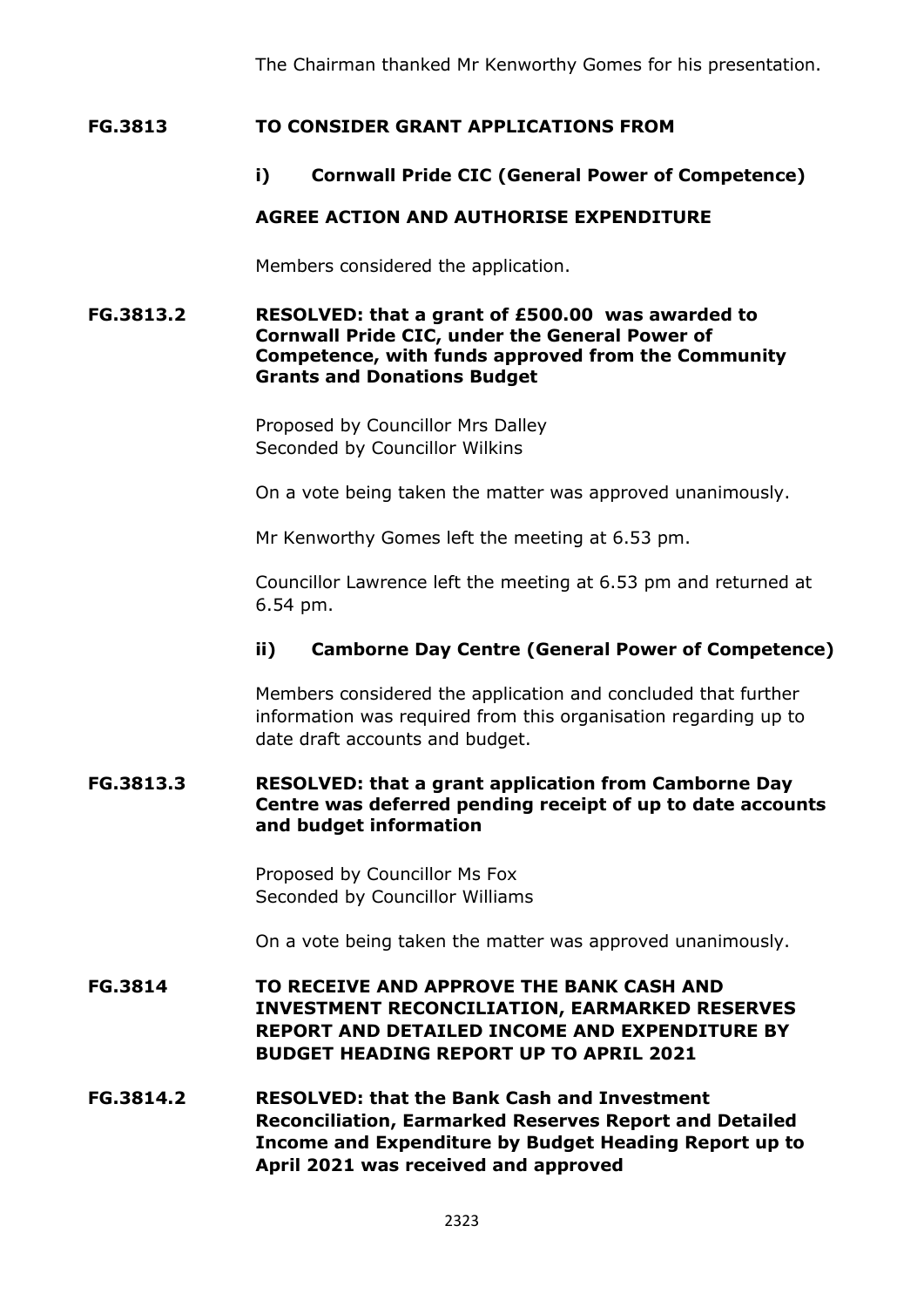The Chairman thanked Mr Kenworthy Gomes for his presentation.

## **FG.3813 TO CONSIDER GRANT APPLICATIONS FROM**

# **i) Cornwall Pride CIC (General Power of Competence)**

# **AGREE ACTION AND AUTHORISE EXPENDITURE**

Members considered the application.

#### **FG.3813.2 RESOLVED: that a grant of £500.00 was awarded to Cornwall Pride CIC, under the General Power of Competence, with funds approved from the Community Grants and Donations Budget**

Proposed by Councillor Mrs Dalley Seconded by Councillor Wilkins

On a vote being taken the matter was approved unanimously.

Mr Kenworthy Gomes left the meeting at 6.53 pm.

Councillor Lawrence left the meeting at 6.53 pm and returned at 6.54 pm.

#### **ii) Camborne Day Centre (General Power of Competence)**

Members considered the application and concluded that further information was required from this organisation regarding up to date draft accounts and budget.

#### **FG.3813.3 RESOLVED: that a grant application from Camborne Day Centre was deferred pending receipt of up to date accounts and budget information**

Proposed by Councillor Ms Fox Seconded by Councillor Williams

On a vote being taken the matter was approved unanimously.

# **FG.3814 TO RECEIVE AND APPROVE THE BANK CASH AND INVESTMENT RECONCILIATION, EARMARKED RESERVES REPORT AND DETAILED INCOME AND EXPENDITURE BY BUDGET HEADING REPORT UP TO APRIL 2021**

**FG.3814.2 RESOLVED: that the Bank Cash and Investment Reconciliation, Earmarked Reserves Report and Detailed Income and Expenditure by Budget Heading Report up to April 2021 was received and approved**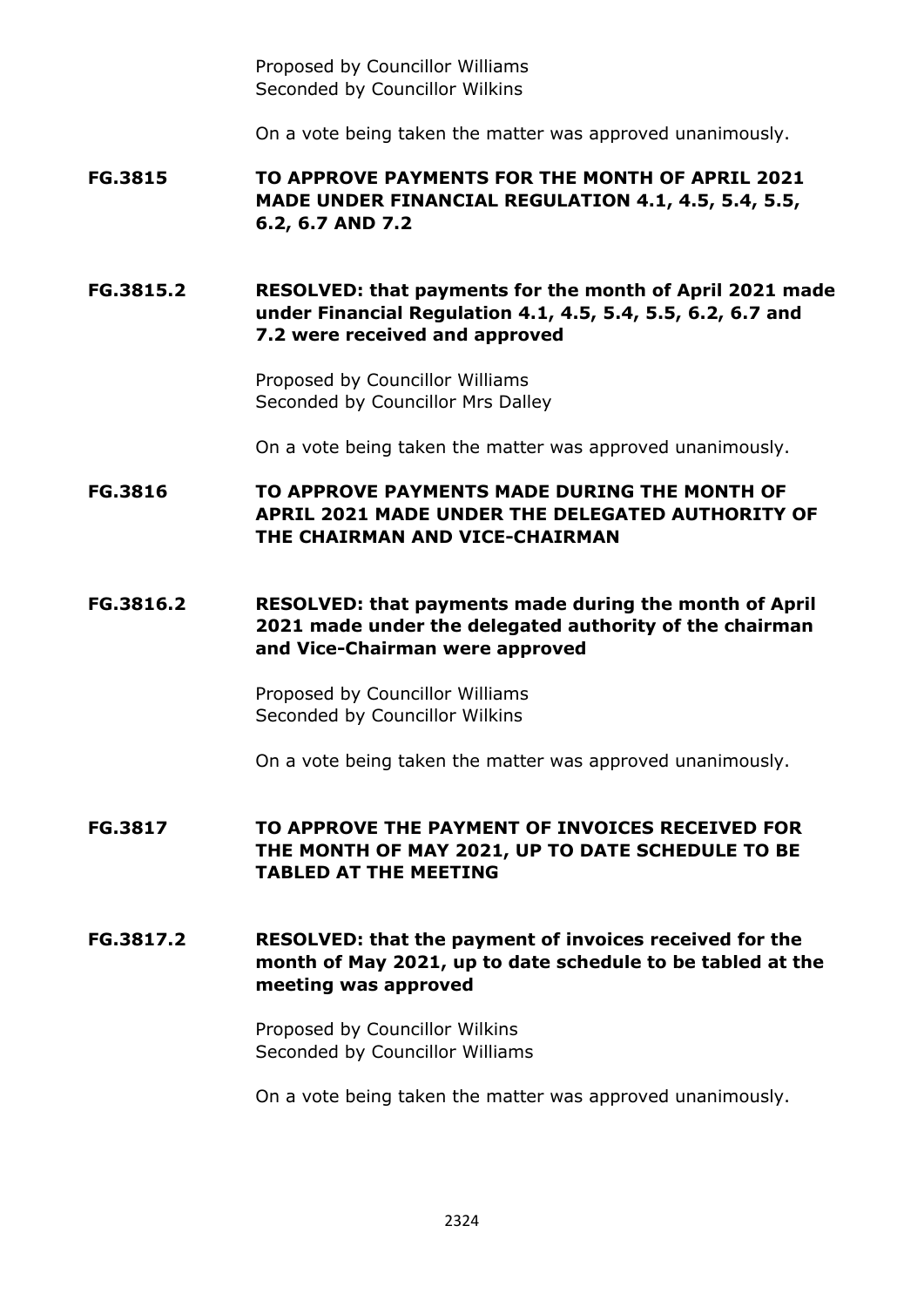Proposed by Councillor Williams Seconded by Councillor Wilkins

On a vote being taken the matter was approved unanimously.

**FG.3815 TO APPROVE PAYMENTS FOR THE MONTH OF APRIL 2021 MADE UNDER FINANCIAL REGULATION 4.1, 4.5, 5.4, 5.5, 6.2, 6.7 AND 7.2**

**FG.3815.2 RESOLVED: that payments for the month of April 2021 made under Financial Regulation 4.1, 4.5, 5.4, 5.5, 6.2, 6.7 and 7.2 were received and approved**

> Proposed by Councillor Williams Seconded by Councillor Mrs Dalley

On a vote being taken the matter was approved unanimously.

**FG.3816 TO APPROVE PAYMENTS MADE DURING THE MONTH OF APRIL 2021 MADE UNDER THE DELEGATED AUTHORITY OF THE CHAIRMAN AND VICE-CHAIRMAN**

# **FG.3816.2 RESOLVED: that payments made during the month of April 2021 made under the delegated authority of the chairman and Vice-Chairman were approved**

Proposed by Councillor Williams Seconded by Councillor Wilkins

On a vote being taken the matter was approved unanimously.

**FG.3817 TO APPROVE THE PAYMENT OF INVOICES RECEIVED FOR THE MONTH OF MAY 2021, UP TO DATE SCHEDULE TO BE TABLED AT THE MEETING**

**FG.3817.2 RESOLVED: that the payment of invoices received for the month of May 2021, up to date schedule to be tabled at the meeting was approved**

> Proposed by Councillor Wilkins Seconded by Councillor Williams

On a vote being taken the matter was approved unanimously.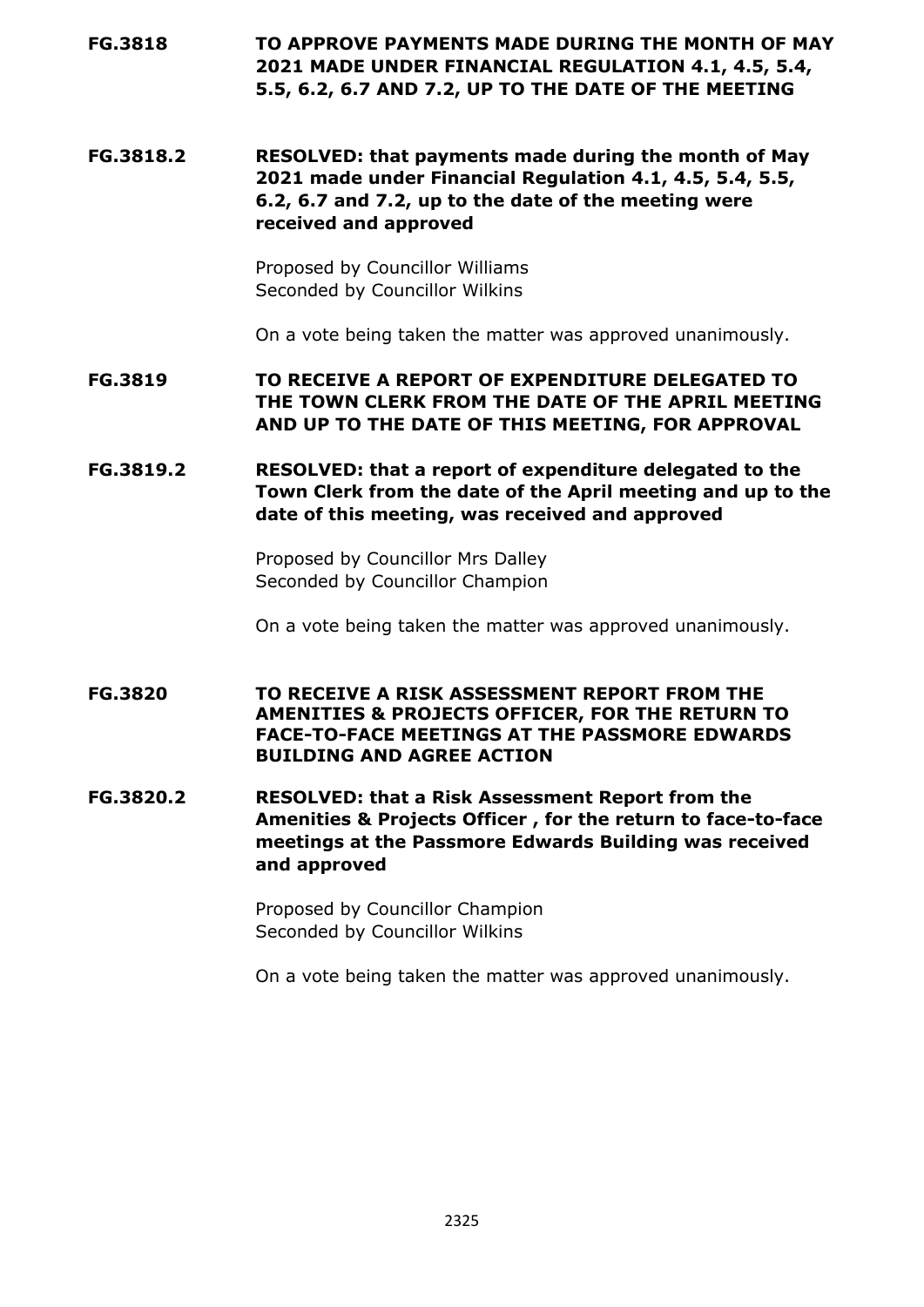# **FG.3818 TO APPROVE PAYMENTS MADE DURING THE MONTH OF MAY 2021 MADE UNDER FINANCIAL REGULATION 4.1, 4.5, 5.4, 5.5, 6.2, 6.7 AND 7.2, UP TO THE DATE OF THE MEETING**

**FG.3818.2 RESOLVED: that payments made during the month of May 2021 made under Financial Regulation 4.1, 4.5, 5.4, 5.5, 6.2, 6.7 and 7.2, up to the date of the meeting were received and approved**

> Proposed by Councillor Williams Seconded by Councillor Wilkins

On a vote being taken the matter was approved unanimously.

**FG.3819 TO RECEIVE A REPORT OF EXPENDITURE DELEGATED TO THE TOWN CLERK FROM THE DATE OF THE APRIL MEETING AND UP TO THE DATE OF THIS MEETING, FOR APPROVAL**

**FG.3819.2 RESOLVED: that a report of expenditure delegated to the Town Clerk from the date of the April meeting and up to the date of this meeting, was received and approved**

> Proposed by Councillor Mrs Dalley Seconded by Councillor Champion

On a vote being taken the matter was approved unanimously.

**FG.3820 TO RECEIVE A RISK ASSESSMENT REPORT FROM THE AMENITIES & PROJECTS OFFICER, FOR THE RETURN TO FACE-TO-FACE MEETINGS AT THE PASSMORE EDWARDS BUILDING AND AGREE ACTION**

**FG.3820.2 RESOLVED: that a Risk Assessment Report from the Amenities & Projects Officer , for the return to face-to-face meetings at the Passmore Edwards Building was received and approved**

> Proposed by Councillor Champion Seconded by Councillor Wilkins

On a vote being taken the matter was approved unanimously.